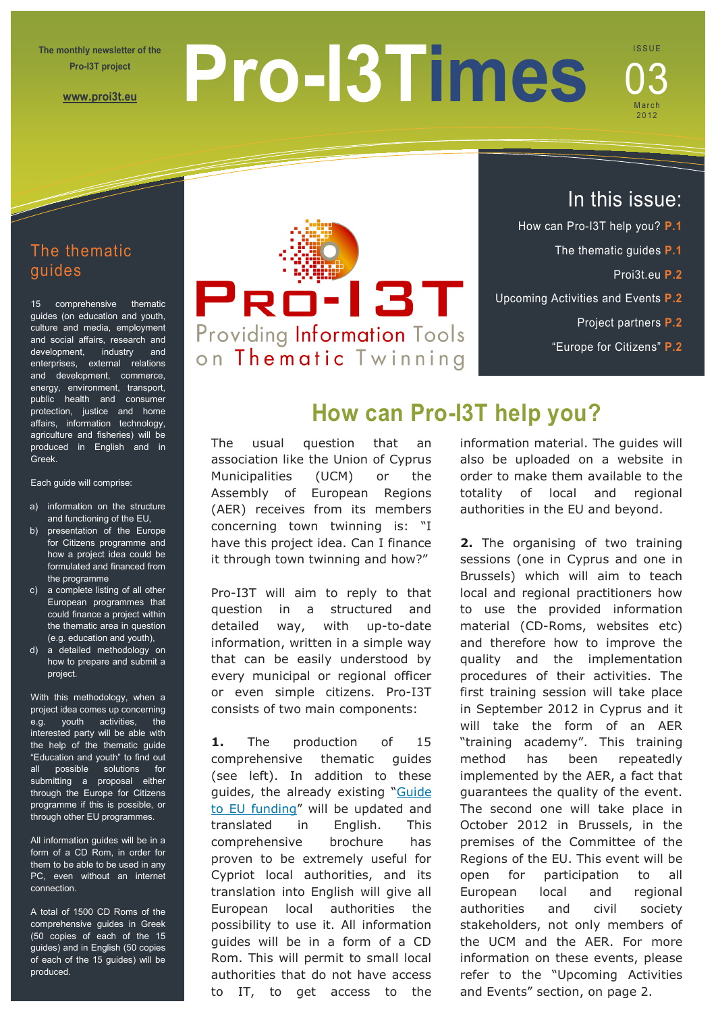**The monthly newsletter of the Pro-I3T project** 

**[www.proi3t.eu](http://www.proi3t.eu/)**

# **Pro-I3Times**

# **ISSUE** March 2012 03

# The thematic guides

15 comprehensive thematic guides (on education and youth, culture and media, employment and social affairs, research and development, industry and enterprises, external relations and development, commerce, energy, environment, transport, public health and consumer protection, justice and home affairs, information technology, agriculture and fisheries) will be produced in English and in Greek.

#### Each guide will comprise:

- a) information on the structure and functioning of the EU,
- b) presentation of the Europe for Citizens programme and how a project idea could be formulated and financed from the programme
- c) a complete listing of all other European programmes that could finance a project within the thematic area in question (e.g. education and youth),
- d) a detailed methodology on how to prepare and submit a project.

With this methodology, when a project idea comes up concerning e.g. youth activities, the interested party will be able with the help of the thematic guide "Education and youth" to find out all possible solutions for submitting a proposal either through the Europe for Citizens programme if this is possible, or through other EU programmes.

All information guides will be in a form of a CD Rom, in order for them to be able to be used in any PC, even without an internet connection.

A total of 1500 CD Roms of the comprehensive guides in Greek (50 copies of each of the 15 guides) and in English (50 copies of each of the 15 guides) will be produced.



# In this issue:

- How can Pro-I3T help you? **P.1**
	- The thematic guides **P.1**
		- Proi3t.eu **P.2**
- Upcoming Activities and Events **P.2**
	- Project partners **P.2**
	- "Europe for Citizens" **P.2**

# **How can Pro-I3T help you?**

The usual question that an association like the Union of Cyprus Municipalities (UCM) or the Assembly of European Regions (AER) receives from its members concerning town twinning is: "I have this project idea. Can I finance it through town twinning and how?"

Pro-I3T will aim to reply to that question in a structured and detailed way, with up-to-date information, written in a simple way that can be easily understood by every municipal or regional officer or even simple citizens. Pro-I3T consists of two main components:

**1.** The production of 15 comprehensive thematic guides (see left). In addition to these guides, the already existing ["Guide](http://www.ucm.org.cy/Depository/Document/634/Document_634_File.pdf)  [to EU funding"](http://www.ucm.org.cy/Depository/Document/634/Document_634_File.pdf) will be updated and translated in English. This comprehensive brochure has proven to be extremely useful for Cypriot local authorities, and its translation into English will give all European local authorities the possibility to use it. All information guides will be in a form of a CD Rom. This will permit to small local authorities that do not have access to IT, to get access to the information material. The guides will also be uploaded on a website in order to make them available to the totality of local and regional authorities in the EU and beyond.

**2.** The organising of two training sessions (one in Cyprus and one in Brussels) which will aim to teach local and regional practitioners how to use the provided information material (CD-Roms, websites etc) and therefore how to improve the quality and the implementation procedures of their activities. The first training session will take place in September 2012 in Cyprus and it will take the form of an AER "training academy". This training method has been repeatedly implemented by the AER, a fact that guarantees the quality of the event. The second one will take place in October 2012 in Brussels, in the premises of the Committee of the Regions of the EU. This event will be open for participation to all European local and regional authorities and civil society stakeholders, not only members of the UCM and the AER. For more information on these events, please refer to the "Upcoming Activities and Events" section, on page 2.